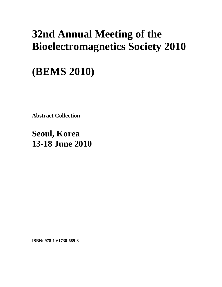# **32nd Annual Meeting of the Bioelectromagnetics Society 2010**

# **(BEMS 2010)**

**Abstract Collection** 

**Seoul, Korea 13-18 June 2010**

**ISBN: 978-1-61738-689-3**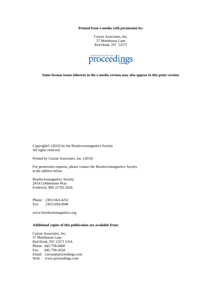**Printed from e-media with permission by:** 

Curran Associates, Inc. 57 Morehouse Lane Red Hook, NY 12571



**Some format issues inherent in the e-media version may also appear in this print version.** 

Copyright© (2010) by the Bioelectromagnetics Society All rights reserved.

Printed by Curran Associates, Inc. (2010)

For permission requests, please contact the Bioelectromagnetics Society at the address below.

Bioelectromagnetics Society 2414 Cobblestone Way Frederick, MD 21702-2626

Phone: (301) 663-4252 Fax: (301) 694-4948

www.bioelectromagnetics.org

### **Additional copies of this publication are available from:**

Curran Associates, Inc. 57 Morehouse Lane Red Hook, NY 12571 USA Phone: 845-758-0400 Fax: 845-758-2634 Email: curran@proceedings.com Web: www.proceedings.com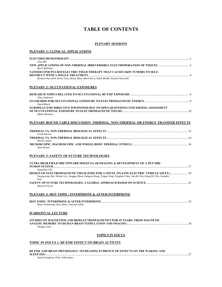# **TABLE OF CONTENTS**

#### **PLENARY SESSIONS**

| PLENARY 1: CLINICAL APPLICATIONS                                                                                                                                                                                                   |
|------------------------------------------------------------------------------------------------------------------------------------------------------------------------------------------------------------------------------------|
|                                                                                                                                                                                                                                    |
| Lluis Mir<br><b>Boris Rubinsky</b>                                                                                                                                                                                                 |
| NANOSECOND PULSED ELECTRIC FIELD THERAPY THAT CAUSES SKIN TUMORS TO SELF-                                                                                                                                                          |
| Richard Nuccitelli, Kevin Tran, Brian Athos, Mark Kreis, Saleh Sheikh, Pamela Nuccitelli                                                                                                                                           |
| PLENARY 2: OCCUPATIONAL EXPOSURES                                                                                                                                                                                                  |
| Vitas Anderson                                                                                                                                                                                                                     |
| David Black                                                                                                                                                                                                                        |
| EUROPEAN EMF DIRECTIVE POSTPONED DUE TO OPEN QUESTIONS CONCERNING ASSESSMENT<br>Maila Hietanen                                                                                                                                     |
| PLENARY ROUND TABLE DISCUSSION: THERMAL, NON-THERMAL OR ENERGY TRANSFER EFFECTS                                                                                                                                                    |
| <b>Frank Barnes</b>                                                                                                                                                                                                                |
| Marvin Ziskin                                                                                                                                                                                                                      |
| <b>Niels Kuster</b>                                                                                                                                                                                                                |
| PLENARY 3: SAFETY OF FUTURE TECHNOLOGIES                                                                                                                                                                                           |
| ULTRA HIGH FIELD MRI TOWARD MOLECULAR IMAGING & DEVELOPMENT OF A PET-MRI                                                                                                                                                           |
| Zang-Hee Cho<br>DESIGN OF ELECTROMAGNETIC FIELD (EMF) FOR A NOVEL ON-LINE ELECTRIC VEHICLE (OLEV) 19<br>Seungyoung Ahn, Heejae Lee, Junggun Byun, Deogsoo Kang, Taigon Song, Yangbae Chun, Jae-Ha Yim, Dong-Ho Cho, Joungho<br>Kim |
| <b>Bernard Veyret</b>                                                                                                                                                                                                              |
| PLENARY 4: HOT TOPIC: INTERPHONE & AFTER-INTERPHONE                                                                                                                                                                                |
| Bruce Armstrong, Jørn Olsen, Joachim Schüz                                                                                                                                                                                         |
| <b>D'ARSONVAL LECTURE</b>                                                                                                                                                                                                          |
| STUDIES ON MAGNETISM AND BIOELECTROMAGNETICS FOR 45 YEARS: FROM MAGNETIC<br>Shoogo Ueno                                                                                                                                            |
| <b>TOPICS IN FOCUS</b>                                                                                                                                                                                                             |
| <b>TOPIC IN FOCUS 1: RF-EMF EFFECT ON BRAIN ACTIVITY</b>                                                                                                                                                                           |

### **RF EMF AND BRAIN PHYSIOLOGY: INCREASING EVIDENCE OF EFFECTS ON THE WAKING AND**

**SLEEP EEG**......................................................................................................................................................................................................27

*Sarah Loughran, Peter Achermann*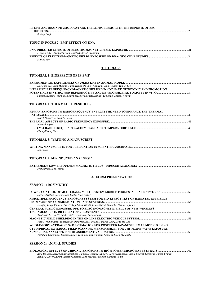| RF EMF AND BRAIN PHYSIOLOGY: ARE THERE PROBLEMS WITH THE REPORTS OF EEG                                                                                                      |
|------------------------------------------------------------------------------------------------------------------------------------------------------------------------------|
| Rodney Croft                                                                                                                                                                 |
| <b>TOPIC IN FOCUS 2: EMF EFFECT ON DNA</b>                                                                                                                                   |
|                                                                                                                                                                              |
| Frauke Focke, David Schurmann, Niels Kuster, Primo Schär<br>Maria Scarfi                                                                                                     |
| <b>TUTORIALS</b>                                                                                                                                                             |
| <b>TUTORIAL 1: BIOEFFECTS OF IF-EMF</b>                                                                                                                                      |
| Hae-June Lee, Youn-Myoung Gimm, Hyung-Do Choi, Nam Kim, Sung-Ho Kim, Yun-Sil Lee                                                                                             |
| <b>INTERMEDIATE FREQUENCY MAGNETIC FIELDS DID NOT HAVE GENOTOXIC AND PROMOTION</b><br>Satoshi Nakasono, Izumi Nishimura, Masateru Ikehata, Kenichi Yamazaki, Tadashi Negishi |
| <b>TUTORIAL 2: THERMAL THRESHOLDS</b>                                                                                                                                        |
| HUMAN EXPOSURE TO RADIOFREQUENCY ENERGY: THE NEED TO ENHANCE THE THERMAL                                                                                                     |
| Joseph Morrissey, Kenneth Foster                                                                                                                                             |
| <b>Bernard Veyret</b><br>Chung-Kwang Chou                                                                                                                                    |
| <b>TUTORIAL 3: WRITING A MANUSCRIPT</b>                                                                                                                                      |
| James Lin                                                                                                                                                                    |
| TUTORIAL 4: MF-INDUCED ANALGESIA                                                                                                                                             |
| Frank Prato, Alex Thomas                                                                                                                                                     |
| <b>PLATFORM PRESENTATIONS</b>                                                                                                                                                |
| <b>SESSION 1: DOSIMETRY</b>                                                                                                                                                  |
| Marie-Christine Gosselin, Sven Kuehn, Niels Kuster                                                                                                                           |
| A MULTIPLE FREQUENCY EXPOSURE SYSTEM FOR BIO-EFFECT TEST OF RADIATED EM FIELDS                                                                                               |
| Jianqing Wang, Kanako Wake, Takuji Arima, Hiroki Kawai, Soichi Watanabe, Osamu Fujiwara<br><b>GENERAL PUBLIC EXPOSURE DUE TO ELECTROMAGNETIC FIELDS OF NEW WIRELESS</b>      |
| Wout Joseph, Leen Verloock, Günter Vermeeren, Luc Martens                                                                                                                    |
| Yoon-Myoung Gimm, Youngjun Ju, Dongyeol Lee, Yuri Lee, Yangbae Chun, Dong-Ho Cho                                                                                             |
| WHOLE-BODY AVERAGED SAR ESTIMATION FOR POSTURED JAPANESE HUMAN MODELS USING<br><b>CYLINDRICAL-EXTERNAL FIELD SCANNING MEASUREMENT FOR UHF PLANE-WAVE EXPOSURE -</b>          |
| Yoshifumi Kawamura, Takashi Hikage, Toshio Nojima, Tomoaki Nagaoka, Soichi Watanabe                                                                                          |
| <b>SESSION 2: ANIMAL STUDIES</b>                                                                                                                                             |

**BIOLOGICAL EFFECTS OF CHRONIC EXPOSURE TO HIGH POWER MICROWAVES IN RATS**..........................................62 *René De Seze, Laura Caplier, Ismahane Guimiot, Mohamed Ammari, Carole Hernandez, Emilie Bourrel, Christelle Gamez, Franck Robidel, Olivier Dupont, Anthony Lecomte, Jean-Jacques Fontaine, Caroline Fonta*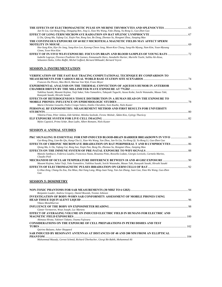| Jun-Ye Liu, Gui-Rong Ding, Dongqing Ren, Jing Li, Xiao-Wu Wang, Fake Zhang, Yu-Rong Li, Guo-Zhen Guo                                                                                                         |  |
|--------------------------------------------------------------------------------------------------------------------------------------------------------------------------------------------------------------|--|
| Li Du, Qiong Ma, Yufang Cui, Xiujie Pan, Rong Sun, Bo Dong, Zhentao Su, Hongmei Zhou, Jianping Mao                                                                                                           |  |
| THE CONTINUOUS EXPOSURE OF 60 HZ 5 MICROTESLA MAGNETIC FIELDS MAY AFFECT SPERM                                                                                                                               |  |
|                                                                                                                                                                                                              |  |
| Hee-Sung Kim, Hye-Jin Jang, Sang-Kon Lee, Kyeong-Cheon Jung, Moon-Koo Chung, Sung-Ho Myung, Nam Kim, Youn-Myoung<br>Gimm, Yoon-Won Kim                                                                       |  |
| EFFECT OF IN-VIVO WI-FI EXPOSURE: FOCUS ON BRAIN AND BLOOD SAMPLES OF YOUNG RATS 22                                                                                                                          |  |
| Isabelle Lagroye, Florence Poulletier De Gannes, Emmanuelle Haro, Annabelle Hurtier, Murielle Taxile, Saliha Aït-Aïssa,<br>Sebastien Duleu, Gilles Ruffié, Michel Geffard, Bernard Billaudel, Bernard Veyret |  |
| <b>SESSION 3: INSTRUMENTATION</b>                                                                                                                                                                            |  |
| VERIFICATION OF THE FAST RAY TRACING COMPUTATIONAL TECHNIQUE BY COMPARISON TO                                                                                                                                |  |
| Francois Du Plessis, Max Birch, Marnus Van Wyk, Frans Meyer<br>EXPERIMENTAL ANALYSIS ON THE THERMAL CONVECTION OF AQUEOUS HUMOR IN ANTERIOR                                                                  |  |
| Yukihisa Suzuki, Masami Kojima, Taiji Sakai, Yoko Yamashiro, Takayuki Taguchi, Azusa Koike, Soichi Watanabe, Masao Taki,                                                                                     |  |
| Kazuyuki Sasaki, Hiroshi Sasaki                                                                                                                                                                              |  |
| EFFECTS OF HETEROGENEOUS TISSUE DISTRIBUTION IN A HUMAN HEAD ON THE EXPOSURE TO                                                                                                                              |  |
| Marie-Christine Gosselin, Pedro Crespo Valero, Emilio Cherubini, Sven Kuehn, Niels Kuster                                                                                                                    |  |
| PERSONAL RF EXPOSIMETRY: MEASUREMENT METHOD AND FIRST RESULTS FOR UNIVERSITY                                                                                                                                 |  |
| Viktória Finta, Péter Juhász, Edit Sárközi, Mónika Szolnoki, Ferenc Molnár, Ádám Kiss, György Thuróczy                                                                                                       |  |
| Myles Capstick, Primo Schär, Beat Ludin, Albert Romann, Niels Kuster                                                                                                                                         |  |
|                                                                                                                                                                                                              |  |
| <b>SESSION 4: ANIMAL STUDIES</b>                                                                                                                                                                             |  |
|                                                                                                                                                                                                              |  |
| PKC SIGNALING IS ESSENTIAL FOR EMP-INDUCED BLOOD-BRAIN BARRIER BREAKDOWN IN VIVO  84<br>Gui-Rong Ding, Lian-Bo Qiu, Kang-Chu Li, Xiao-Wu Wang, Yan Zhou, Jun-Ye Liu, Yu-Hong Qi, Yu-Rong Li, Guo-Zhen Guo    |  |
|                                                                                                                                                                                                              |  |
| Qiong Ma, Li Du, Yufang Cui, Rong Sun, Xiujie Pan, Bong Do, Zhentao Su, Hongmei Zhou, Jianping Mao                                                                                                           |  |
|                                                                                                                                                                                                              |  |
| Manolo Sambucci, Federica Laudisi, Francesca Nasta, Rosanna Pinto, Rossella Lodato, Giorgio Lovisolo, Carmela Marino,<br>Claudio Pioli                                                                       |  |
|                                                                                                                                                                                                              |  |
| Masami Kojima, Sakai Taiji, Yoko Yamashiro, Yukihisa Suzuki, Soichi Watanabe, Masao Taki, Kazuyuki Sasaki, Hiroshi Sasaki                                                                                    |  |
|                                                                                                                                                                                                              |  |
| Li-Hua Zeng, Chang-Xu Zou, Xia Miao, Hai-Yang Lang, Ming-Juan Yang, Yan-Jun Zhang, Juan Guo, Xiao-Wu Wang, Guo-Zhen<br>Guo                                                                                   |  |
| <b>SESSION 5: DOSIMETRY</b>                                                                                                                                                                                  |  |
|                                                                                                                                                                                                              |  |
| Benjamin Loader, Andrew Gregory, Daniel Bownds, Yvonne Johnson                                                                                                                                               |  |
| <b>INVESTIGATION OF BODY-WORN SAR CONFORMITY ASSESSMENT OF MOBILE PHONES USING</b>                                                                                                                           |  |
| Vikass Monebhurrun                                                                                                                                                                                           |  |
| Günter Vermeeren, Wout Joseph, Luc Martens                                                                                                                                                                   |  |
| EFFECT OF AVERAGING VOLUME ON INDUCED ELECTRIC FIELD IN HUMANS FOR ELECTRIC AND                                                                                                                              |  |
| Akimasa Hirata, Yukinori Takano, Osamu Fujiwara<br>CONSIDERATIONS ON THE EXPOSURE OF CELL PREPARATIONS IN PETRI DISHES AND TEST                                                                              |  |
|                                                                                                                                                                                                              |  |
| Quirino Balzano, Asher Sheppard                                                                                                                                                                              |  |
| SAR INDUCED BY RESONANT ANTENNAS AT DISTANCES OF 40 AND 200 MM FROM AN ELLIPTICAL                                                                                                                            |  |
| Muhammad Mazady, Gernot Schmid, Richard Überbacher, Giorgi Bit-Babik, Mohammod Ali                                                                                                                           |  |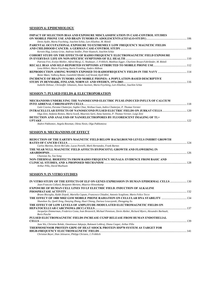### **SESSION 6: EPIDEMIOLOGY**

| IMPACT OF SELECTION BIAS AND EXPOSURE MISCLASSIFICATION IN CASE-CONTROL STUDIES                                             |  |
|-----------------------------------------------------------------------------------------------------------------------------|--|
|                                                                                                                             |  |
| Denis Aydin, Maria Feychting, Joachim Schüz, Lars Klaeboe, M. Röösli                                                        |  |
| PARENTAL OCCUPATIONAL EXPOSURE TO EXTREMELY LOW FREQUENCY MAGNETIC FIELDS                                                   |  |
|                                                                                                                             |  |
| Kerstin Hug, Letizia Grize, Andreas Seidler, Peter Kaatsch, Joachim Schüz                                                   |  |
| <b>COHORT STUDY ON THE EFFECTS OF RADIO FREQUENCY ELECTROMAGNETIC FIELD EXPOSURE</b>                                        |  |
|                                                                                                                             |  |
| Patrizia Frei, Evelyn Mohler, Alfred Bürgi, G. Neubauer, J. Fröhlich, Matthias Egger, Charlotte Braun-Fahrländer, M. Röösli |  |
|                                                                                                                             |  |
| Lena Hillert, Maria Feychting, Karin Fremling, Anders Ahlbom                                                                |  |
|                                                                                                                             |  |
| Bente Møen, Valborg Baste, Gunnhild Oftedal, Leif Strand, Kjell Mild                                                        |  |
| INCIDENCE OF BRAIN TUMORS AND MOBILE PHONES: A POPULATION-BASED DESCRIPTIVE                                                 |  |
|                                                                                                                             |  |
| Isabelle Deltour, Christoffer Johansen, Anssi Auvinen, Maria Feychting, Lars Klaeboe, Joachim Schüz                         |  |

## **SESSION 7: PULSED FIELDS & ELECTROPORATION**

| MECHANISMS UNDERLYING THE NANOSECOND ELECTRIC PULSE-INDUCED INFLUX OF CALCIUM                        |     |
|------------------------------------------------------------------------------------------------------|-----|
|                                                                                                      |     |
| Gale Craviso, Paroma Chatterjee, Sophie Choe, Weihua Guan, Indira Chatterjee, P. Thomas Vernier      |     |
| 120 INTRACELLULAR EFFECTS OF NANOSECOND PULSED ELECTRIC FIELDS ON JURKAT CELLS                       |     |
| Olga Zeni, Stefania Romeo, Maria Scarfi, Maurizio Sarti, Anna Sannino, P. Thomas Vernier, Luigi Zeni |     |
| DETECTION AND ANALYSIS OF NANOELECTROPORES BY FLUORESCENT IMAGING OF TL+                             |     |
|                                                                                                      | 122 |
| Andrei Pakhomov, Angela Bowman, Olena Nesin, Olga Pakhomova                                          |     |

### **SESSION 8: MECHANISMS OF EFFECT**

| REDUCTION OF THE EARTH'S MAGNETIC FIELD BELOW BACKGROUND LEVELS INHIBIT GROWTH |     |
|--------------------------------------------------------------------------------|-----|
|                                                                                | 124 |
| Carlos Martino, Kevin McCabe, Lucas Portelli, Mark Hernandez, Frank Barnes     |     |
| THE NEAR NULL MAGNETIC FIELD AFFECTS HYPOCOTYL GROWTH AND FLOWERING IN         |     |
|                                                                                | 176 |
| Chunxiao Xu, Tao Song                                                          |     |
| NON-THERMAL BIOEFFECTS FROM RADIO FREQUENCY SIGNALS: EVIDENCE FROM BASIC AND   |     |
|                                                                                | 128 |
| Arthur Pilla, David Muehsam                                                    |     |
|                                                                                |     |

### **SESSION 9: IN VITRO STUDIES**

| IN VITRO STUDY OF THE EFFECTS OF ELF ON GENES EXPRESSION IN HUMAN EPIDERMAL CELLS  130                                                          |  |
|-------------------------------------------------------------------------------------------------------------------------------------------------|--|
| Jean-Francois Collard, Benjamin Mertens, Maurice Hinsenkamp<br><b>EXPOSURE OF HUMAN CELL LINES TO LF ELECTRIC FIELD. INDUCTION OF ALKALINE</b>  |  |
|                                                                                                                                                 |  |
| Bruno Bisceglia, Hylde Zirpoli, Mariella Caputo, Francesco Chiadini, Antonio Scaglione, Mario Felice Tecce                                      |  |
| THE EFFECT OF 1800 MHZ GSM MOBILE PHONE RADIATION ON CELLULAR DNA STABILITY                                                                     |  |
| Shanshan Xu, Qunli Zeng, Danying Zhang, Huai Chiang, Dariusz Leszczynski, Zhengping Xu                                                          |  |
| THE EFFECT OF LOW LEVELS OF AMPLITUDE-MODULATED ELECTROMAGNETIC FIELDS ON                                                                       |  |
|                                                                                                                                                 |  |
| Jacquelyn Zimmerman, Frederico Costa, Ivan Brezovich, Michael Pennison, Devin Absher, Richard Myers, Alexandre Barbault,<br><b>Boris Pasche</b> |  |
| PULSED ELECTROMAGNETIC FIELDS INCREASE CGMP RELEASE FROM HUMAN ENDOTHELIAL                                                                      |  |
| <b>CELLS</b>                                                                                                                                    |  |
| June Wu, Christine Rohde, Omotinuwe Adepoju, Rukmani Lekhraj, Diana Casper, Arthur Pilla                                                        |  |
| THERMOSENSOR PROTEIN GRPE OF HEAT SHOCK PROTEIN HSP70 SYSTEM AS TARGET FOR                                                                      |  |
|                                                                                                                                                 |  |
| Christian Beyer, Ilian Jelesarov, Philipp Christen, J. Fröhlich                                                                                 |  |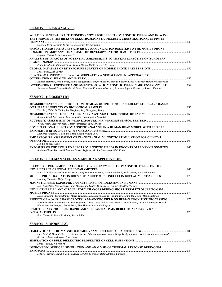#### **SESSION 10: RISK ANALYSIS**

| WHAT DO GENERAL PRACTITIONERS KNOW ABOUT ELECTROMAGNETIC FIELDS AND HOW DO                                               |     |
|--------------------------------------------------------------------------------------------------------------------------|-----|
| THEY PERCEIVE THE RISKS OF ELECTROMAGNETIC FIELDS? A CROSS-SECTIONAL STUDY IN                                            |     |
|                                                                                                                          |     |
| Gabriele Berg-Beckhoff, Bernd Kowall, Jürgen Breckenkamp                                                                 |     |
| PRECAUTIONARY MEASURES AND RISK COMMUNICATION RELATED TO THE MOBILE PHONE                                                |     |
|                                                                                                                          |     |
| Dagmar Wiebusch, Karsten Menzel                                                                                          |     |
| ANALYSIS OF IMPACTS OF POTENTIAL AMENDMENTS TO THE EMF DIRECTIVE ON EUROPEAN                                             |     |
|                                                                                                                          |     |
| Philip Chadwick, Maila Hietanen, Tommi Alanko, Paolo Rossi, Peter Gajšek                                                 |     |
|                                                                                                                          |     |
| Jack Rowley, Ken Joyner                                                                                                  |     |
| ELECTROMAGNETIC FIELDS AT WORKPLACES - A NEW SCIENTIFIC APPROACH TO                                                      |     |
|                                                                                                                          | 152 |
| Hannah Heinrich, Fritz Börner, Hauke Brüggemeyer, Siegfried Eggert, Markus Fischer, Klaus Hentschel, Hannelore Neuschulz |     |
| OCCUPATIONAL EXPOSURE ASSESSMENT TO STATIC MAGNETIC FIELD IN MRI ENVIRONMENT 154                                         |     |
|                                                                                                                          |     |

*Simona Valbonesi, Marina Barbiroli, Mario Frullone, Francesca Graziosi, Ermanno Papotti, Francesco Saverio Violante* 

#### **SESSION 11: DOSIMETRY**

| <b>MEASUREMENT OF 3D DISTRIBUTION OF MEAN OUTPUT POWER OF MILLIMETER WAVE BASED</b>     |     |
|-----------------------------------------------------------------------------------------|-----|
|                                                                                         |     |
| Yan Gao, Zhihui Li, Yiming Lu, Yonghong Wu, Chenggang Zhang                             |     |
|                                                                                         |     |
| Andrew Wood, Yuen Yuen Chen, Jacqueline Bermingham, Steve Iskra                         |     |
|                                                                                         |     |
| Wout Joseph, Leen Verloock, Günter Vermeeren, Luc Martens                               |     |
| COMPUTATIONAL ELECTROMAGNETIC ANALYSIS IN A HUMAN HEAD MODEL WITH EEG CAP               |     |
|                                                                                         | 162 |
| Leonardo Angelone, Giorgi Bit-Babik, Chung-Kwang Chou                                   |     |
| EMF EXPOSURE ASSESSMENT OF TRANSCRANIAL MAGNETIC STIMULATION FOR CLINICAL               |     |
| <b>OPERATOR</b>                                                                         |     |
| Mai Lu, Shoogo Ueno                                                                     |     |
| <b>EXPOSURE OF THE FETUS TO ELECTROMAGNETIC FIELDS IN UNCONTROLLED ENVIRONMENTS 166</b> |     |
| Andreas Christ, Barbara Bühlmann, Marcel Zefferer, Nicolas Chavannes, Niels Kuster      |     |
|                                                                                         |     |

#### **SESSION 12: HUMAN STUDIES & MEDICAL APPLICATIONS**

| <b>EFFECTS OF PULSE-MODULATED RADIO FREQUENCY ELECTROMAGNETIC FIELDS ON THE</b>                                                                                                               |  |
|-----------------------------------------------------------------------------------------------------------------------------------------------------------------------------------------------|--|
|                                                                                                                                                                                               |  |
| Marc Schmid, Aleksandra Bratic, Sarah Loughran, Sabine Regel, Manuel Murbach, Niels Kuster, Peter Achermann                                                                                   |  |
| 170 MOBILE PHONE RADIATION DOES NOT INDUCE MICRONUCLEI IN BUCCAL MUCOSA CELLS 1                                                                                                               |  |
| Henning Hintzsche, Helga Stopper                                                                                                                                                              |  |
|                                                                                                                                                                                               |  |
| John Robertson, Jean Théberge, Jodi Miller, Julie Weller, Dick Drost, Frank Prato, Alex Thomas                                                                                                |  |
| HUMAN THERMAL AND CIRCULATORY CHANGES DURING SHORT-TERM EXPOSURE TO GSM                                                                                                                       |  |
|                                                                                                                                                                                               |  |
| Harri Lindholm, Tommi Alanko, Maria Tiikkaja, Heli Sistonen, Henna Hämäläinen, Hannu Rintamäki, Maila Hietanen                                                                                |  |
| EFFECTS OF A 60 HZ, 3000 MICROTESLA MAGNETIC FIELD ON HUMAN COGNITIVE PROCESSING  176                                                                                                         |  |
| Michael Corbacio, Samantha Brown, Stephanie Dubois, Julie Weller, Anne Beuter, Daniel Goulet, Jacques Lambrozo, Michel<br>Plante, Martine Sougues, Frank Prato, Alex Thomas, Alexandre Legros |  |
| PEMF THERAPY PRODUCES RAPID AND SUBSTANTIAL PAIN REDUCTION IN EARLY KNEE                                                                                                                      |  |
|                                                                                                                                                                                               |  |
| Fred Nelson, Raimond Zvirbulis, Arthur Pilla                                                                                                                                                  |  |
| <b>SESSION 13: MODELING</b>                                                                                                                                                                   |  |
|                                                                                                                                                                                               |  |
| Esra Neufeld, Dominik Szczerba, Stefan Benkler, Adamos Kyriacou, Joshua Guag, Wolfgang Kainz, Victor Krauthamer, Howard<br>Bassen, Sebastian Kozerke, Niels Kuster                            |  |
|                                                                                                                                                                                               |  |
| Sonia Huclova, J. Fröhlich                                                                                                                                                                    |  |

**EXPOSURE** ....................................................................................................................................................................................................184

**IMPROVED NUMERICAL SIMULATION AND ANALYSIS OF THERMAL RESPONSE DURING EM** 

*Mikheil Prishvin, Lali Bibilashvili, Revaz Zaridze, Giorgi Bit-Babik, Antonio Faraone*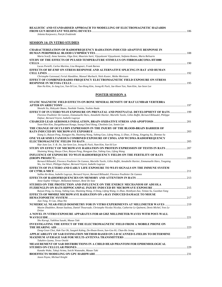| <b>REALISTIC AND STANDARISED APPROACH TO MODELLING OF ELECTROMAGNETIC HAZARDS</b><br>Jolanta Karpowicz, Patryk Zradzinski                                                                           |  |
|-----------------------------------------------------------------------------------------------------------------------------------------------------------------------------------------------------|--|
| <b>SESSION 14: IN VITRO STUDIES</b>                                                                                                                                                                 |  |
| <b>CHARACTERIZATION OF RADIOFREOUENCY RADIATION-INDUCED ADAPTIVE RESPONSE IN</b><br>Maria Scarfi, Anna Sannino, Olga Zeni, Maurizio Sarti, Vijayalaxmi Vijayalaxmi, Stefania Romeo, Maria Belisario |  |
| STUDY OF THE EFFECTS OF PULSED TEMPERATURE STIMULUS ON FIBROSARCOMA HT1080                                                                                                                          |  |
| Lucas Portelli, Carlos Martino, Lisa Rengnart, Frank Barnes<br>EFFECTS OF RF-EMF ON STRESS RESPONSE AND ALTERNATIVE SPLICING IN RAT AND HUMAN                                                       |  |

#### *Christophe Guionaud, Ferial Alaeddine, Manuel Murbach, Niels Kuster, Meike Mevissen*  **EFFECT OF COMBINED RADIO FREQUENCY ELECTROMAGNETIC FIELD EXPOSURE ON STRESS RESPONSE IN MCF10A CELLS RESPONSE IN MCF10A CELLS** ................................................................................................................................................................195

*Han-Na Kim, Je-Jung Lee, Yun-Sil Lee, Tae-Hong Kim, Jeong-Ki Pack, Jae-Hoon Yun, Nam Kim, Jae-Seon Lee* 

#### **POSTER SESSION A**

| STATIC MAGNETIC FIELD EFFECTS ON BONE MINERAL DENSITY OF RAT LUMBAR VERTEBRA                                                   |  |
|--------------------------------------------------------------------------------------------------------------------------------|--|
|                                                                                                                                |  |
| Shenzhi Xu, Hideyuki Okano, Naohide Tomita, Yoshito Ikada                                                                      |  |
| 199 EFFECT OF IN UTERO WI-FI EXPOSURE ON PRENATAL AND POSTNATAL DEVELOPMENT OF RATS                                            |  |
| Florence Poulletier De Gannes, Emmanuelle Haro, Annabelle Hurtier, Murielle Taxile, Gilles Ruffié, Bernard Billaudel, Philippe |  |
| Dufour, Bernard Veyret, Isabelle Lagroye                                                                                       |  |
|                                                                                                                                |  |
| Yoon-Shin Kim, Durgabhavani Konga, Seung-Cheol Hong, Cheolmin Lee, Somin Lee                                                   |  |
| THE CHANGE OF OCCLUDIN EXPRESSION IN THE INJURY OF THE BLOOD-BRAIN BARRIER OF                                                  |  |
|                                                                                                                                |  |
| Xiang Li, Ruiyun Peng, Xiangjun Hu, Shuiming Wang, Yabing Gao, Lifeng Wang, Li Zhao, Ji Dong, Xingping Xu, Zhentao Su          |  |
| ONE YEAR SIMULTANEOUS COMBINED EXPOSURE OF CDMA AND WCDMA RADIOFREQUENCY                                                       |  |
|                                                                                                                                |  |
| Hae-June Lee, Y.-B. Jin, Jae-Seon Lee, Jeong-Ki Pack, Nam Kim, Yun-Sil Lee                                                     |  |
| STUDY ON EFFECT OF MICROWAVE RADIATION ON PROTEIN EXPRESSION OF TESTIS IN RATS 207                                             |  |
| Shuiming Wang, Haoyu Chen, Ruiyun Peng, Hongyan Zuo, Yabing Gao, Lifeng Wang                                                   |  |
| <b>INFLUENCE OF EXPOSURE TO WI-FI RADIOFREQUENCY FIELDS ON THE FERTILITY OF RATS</b>                                           |  |
|                                                                                                                                |  |
| Bernard Billaudel, Florence Poulletier De Gannes, Murielle Taxile, Gilles Ruffié, Annabelle Hurtier, Emmanuelle Haro, Tongning |  |
| Wu, Joe Wiart, Philippe Dufour, Bernard Veyret, Isabelle Lagroye                                                               |  |
| EFFECTS OF IN-UTERO AND EARLY LIFE EXPOSURE TO WI-FI SIGNALS ON THE IMMUNE SYSTEM                                              |  |
|                                                                                                                                |  |
| Saliha Aït-Aïssa, Isabelle Lagroye, Bernard Veyret, Bernard Billaudel, Florence Poulletier De Gannes                           |  |
|                                                                                                                                |  |
| Anne-Sophie Villégier, Mohamed Ammari, René De Seze                                                                            |  |
| STUDIES ON THE PROTECTION AND INFLUENCE ON THE ENERGY MECHANISM OF ADUOLA                                                      |  |
|                                                                                                                                |  |
| Ruiyun Peng, Lu Xiong, Yabing Gao, Shuiming Wang, Ji Dong, Lifeng Wang, Li Zhao, Homhyan Zuo, Tentao Su, Guoshan Yang          |  |
| EFFECTS OF 900MHZ MICROWAVE RADIATION ON y-RAY INDUCED DAMAGE TO MOUSE                                                         |  |
|                                                                                                                                |  |
| Jian Tong, Yi Cao, Jihua Nie                                                                                                   |  |
| NUMERICAL NEAR-FIELD DOSIMETRY FOR IN VITRO EXPERIMENTS AT MILLIMETER WAVES 219                                                |  |
| Maxim Zhadobov, Ronan Sauleau, Daniel Thouroude, Christophe Nicolas Nicolaz, Catherine Le Quément, Denis Michel, Yves Le       |  |
| Dréan                                                                                                                          |  |
| A NOVEL IN VITRO EXPOSURE APPARATUS FOR 60 GHZ MILLIMETER-WAVES WITH POST-WALL                                                 |  |
|                                                                                                                                |  |
| Sho Kurogi, Yukihisa Suzuki, Masao Taki                                                                                        |  |
| <b>INVESTIGATING THE EFFECT OF THE ELECTROMAGNETIC FIELD FROM A MOBILE PHONE ON</b>                                            |  |
|                                                                                                                                |  |
| Dong-Geun Choi, Hak-Tae Oh, Sungtek Kahng, Do-Hwan Kwon, Sun-Goo Ki, Chan-Ho Jeong                                             |  |
| APPLICABILITY OF SAR ESTIMATION METHOD BASED ON 2-D SCANNED E-FIELDS TO DETERMINE                                              |  |
|                                                                                                                                |  |
| Takahiro Iyama, Teruo Onishi                                                                                                   |  |
| MEASUREMENT OF SAR DISTRIBUTIONS IN A CHILD HEAD PHANTOM FOR EPIDEMIOLOGICAL                                                   |  |
|                                                                                                                                |  |
| Kanako Wake, Takuji Arima, Soichi Watanabe, Masao Taki                                                                         |  |
|                                                                                                                                |  |

*Jason Payne, Michael Knight*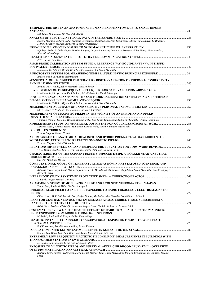| TEMPERATURE RISE IN AN ANATOMICAL HUMAN HEAD PHANTOM DUE TO SMALL DIPOLE                                                                                                                                                                                                    |  |
|-----------------------------------------------------------------------------------------------------------------------------------------------------------------------------------------------------------------------------------------------------------------------------|--|
| Md. Islam, Mohammod Ali, Giorgi Bit-Babik                                                                                                                                                                                                                                   |  |
| ANALYSIS OF ELECTRIC NETWORK DATA IN THE EXPERS STUDY…………………………………………………………………………… 235<br>Isabelle Magne, Mfoihaya Bedja, François Deschamps, Mikael Le Lay, Jean Luc Richar, Gilles Fleury, Laurent Le Brusquet,<br>Martine Souques, Jacques Lambrozo, Alexandre Carlsberg |  |
| Mfoihaya Bedja, Isabelle Magne, Martine Souques, Jacques Lambrozo, Laurent Le Brusquet, Gilles Fleury, Alain Azoulay,<br>Alexandre Carlsberg                                                                                                                                |  |
| Peter Gajšek, Blaž Valic                                                                                                                                                                                                                                                    |  |
| A SAR-PROBE CALIBRATION SYSTEM USING A REFERENCE WAVEGUIDE ANTENNA IN TISSUE-                                                                                                                                                                                               |  |
| Lira Hamada, Yukihiro Miyota, Kenichi Sato, Nozomu Ishii, Soichi Watanabe                                                                                                                                                                                                   |  |
| Andrew Wood, Jacqueline Bermingham                                                                                                                                                                                                                                          |  |
| SENSITIVITY OF RF-INDUCED TEMPERATURE RISE TO VARIATION OF THERMAL CONDUCTIVITY                                                                                                                                                                                             |  |
| Arnulfo Diaz-Trujillo, Robert McIntosh, Vitas Anderson                                                                                                                                                                                                                      |  |
| Lira Hamada, Hiroyuki Aso, Kenichi Sato, Soichi Watanabe, Kaori Fukunaga<br><b>LOW-FREQUENCY EXPANSION OF THE SAR-PROBE CALIBRATION SYSTEM USING A REFERENCE</b>                                                                                                            |  |
| Lira Hamada, Yukihiro Miyota, Kenichi Sato, Nozomu Ishii, Soichi Watanabe                                                                                                                                                                                                   |  |
|                                                                                                                                                                                                                                                                             |  |
| Oliver Lauer, G. Neubauer, M. Röösli, M. Riederer, J. Fröhlich<br>MEASUREMENT OF MAGNETIC FIELDS IN THE VICINITY OF AN IH HOB AND INDUCED                                                                                                                                   |  |
|                                                                                                                                                                                                                                                                             |  |
| Tomoyuki Nojima, Tomohito Hosono, Kanako Wake, Taiji Sakai, Yukihisa Suzuki, Soichi Watanabe, Osamu Hashimoto                                                                                                                                                               |  |
| A PRELIMINARY STUDY ON NUMERICAL DOSIMETRY FOR OCULAR EXPOSURE AT 60GHZ 256<br>Kensuke Sasaki, Yukihisa Suzuki, Taiji Sakai, Kanako Wake, Soichi Watanabe, Masao Taki                                                                                                       |  |
|                                                                                                                                                                                                                                                                             |  |
| Tomasz Dlugosz, Hubert Trzaska<br>A COMPARISON OF ANATOMICAL REALISTIC AND HYBRID PREGNANT-WOMAN MODELS FOR                                                                                                                                                                 |  |
| Tomoaki Nagaoka, Soichi Watanabe                                                                                                                                                                                                                                            |  |
| RELATIONSHIP BETWEEN SAR AND TEMPERATURE ELEVATION FOR BODY-WORN DEVICES262                                                                                                                                                                                                 |  |
| Teruo Onishi, Takahiro Iyama, Lira Hamada, Soichi Watanabe, Akimasa Hirata<br><b>CHARACTERISTICS OF THE CURRENT DENSITY INDUCED INSIDE A WORKER NEAR A NEUTRAL</b>                                                                                                          |  |
|                                                                                                                                                                                                                                                                             |  |
| Suk Won Min, Sung Ho Lee<br><b>COMPUTATIONAL MODEL OF TEMPERATURE ELEVATION IN RATS EXPOSED TO INTENSE AND</b>                                                                                                                                                              |  |
|                                                                                                                                                                                                                                                                             |  |
| Akimasa Hirata, Yuya Kanai, Osamu Fujiwara, Hiroshi Masuda, Hiroki Kawai, Takuji Arima, Soichi Watanabe, Isabelle Lagroye,<br><b>Bernard Veyret</b>                                                                                                                         |  |
| L. Lloyd Morgan, Michael Carlberg                                                                                                                                                                                                                                           |  |
|                                                                                                                                                                                                                                                                             |  |
| Yasuto Sato, Suminori Akiba, Naohito Yamaguch<br>PERSONAL NEAR-FIELD TO FAR-FIELD EXPOSURE TO RADIO FREQUENCY ELECTROMAGNETIC                                                                                                                                               |  |
|                                                                                                                                                                                                                                                                             |  |
| Oliver Lauer, M. Röösli, Patrizia Frei, Evelyn Mohler, Marie-Christine Gosselin, Sven Kühn, J. Fröhlich                                                                                                                                                                     |  |
| RISKS FOR CENTRAL NERVOUS SYSTEM DISEASES AMONG MOBILE PHONE SUBSCRIBERS: A                                                                                                                                                                                                 |  |
| Aslak Harbo Poulsen, Christoffer Johansen, Jørgen Olsen, Gunhild Waldemar, Joachim Schüz                                                                                                                                                                                    |  |
| SYSTEMATIC REVIEW ON THE HEALTH EFFECTS OF RADIOFREQUENCY ELECTROMAGNETIC                                                                                                                                                                                                   |  |
| M. Röösli, Patrizia Frei, Evelyn Mohler, Kerstin Hug<br><b>GENOMIC INSTABILITY INDUCED BY OCCUPATIONAL EXPOSURE TO SHORT WAVE-LENGTH</b>                                                                                                                                    |  |
| Rafi Korenstein, Avital Korenstein-Ilan, Judith Shaham                                                                                                                                                                                                                      |  |
|                                                                                                                                                                                                                                                                             |  |
| Seung-Cheol Hong, Yoon-Shin Kim, Keun-Young Kim, Myoung-Duck Han<br>EXTREMELY LOW FREQUENCY MAGNETIC FIELD (ELF-MF) MEASUREMENTS IN BUILDINGS WITH                                                                                                                          |  |
| M. Röösli, Daniela Jenni, Leeka Kheifets, Gabor Mezei                                                                                                                                                                                                                       |  |
| <b>EXPOSURE TO MAGNETIC FIELDS AND SURVIVAL AFTER CHILDHOOD LEUKAEMIA -OVERVIEW</b>                                                                                                                                                                                         |  |
| Kathrine Grell, Kirsten Frederiksen, Martha Linet, Michael Link, Gabor Mezei, Brad Pollock, Eve Roman, Jill Simpson, Joachim                                                                                                                                                |  |
| Schüz                                                                                                                                                                                                                                                                       |  |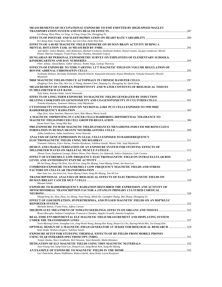| MEASUREMENTS OF OCCUPATIONAL EXPOSURE TO EMF EMITTED BY HIGH-SPEED MAGLEV                                                                                 |  |
|-----------------------------------------------------------------------------------------------------------------------------------------------------------|--|
| Lei Zhang, Zhou Zhou, Lu Yang, Ju Yang, Fang Chu, Zhengping Yu                                                                                            |  |
| Ki Chang Nam, Young Woo Shim, Jae Lim Choi, Deok Won Kim                                                                                                  |  |
| EFFECTS OF A 60 HZ MAGNETIC FIELD EXPOSURE ON HUMAN BRAIN ACTIVITY DURING A                                                                               |  |
| Jodi Miller, Julien Modolo, John Robertson, Michael Corbacio, Stephanie Dubois, Daniel Goulet, Jacques Lambrozo, Michel                                   |  |
| Plante, Martine Souques, Frank Prato, Alex Thomas, Alexandre Legros                                                                                       |  |
| HUNGARIAN RF PERSONAL EXPOSIMETRY SURVEY ON EMPLOYEES OF ELEMENTARY SCHOOLS,<br>Péter Juhász, József Bakos, Gábor Jánossy, Noémi Nagy, György Thuróczy    |  |
| EFFECTS OF EXPOSURE TO TIME-VARYING 1.5 T MAGNETIC FIELD ON VOLUME REGULATION OF                                                                          |  |
| Toshitaka Ikehara, Hirotaka Nishisako, Hitoshi Houchi, Kazuyoshi Kawazoe, Kazuo Minakuchi, Yohsuke Kinouchi, Hiroshi                                      |  |
| Miyamoto                                                                                                                                                  |  |
| Qingfeng Chen, Kan Zhu, Wei Liu, Li Wang, Hanmin Chen, Deqiang Lu, Zhengping Xu, Qunli Zeng                                                               |  |
| MEASUREMENT OF COMPLEX PERMITTIVITY AND WATER CONTENTS OF BIOLOGICAL TISSUES                                                                              |  |
| Taiji Sakai, Kanako Wake, Soichi Watanabe                                                                                                                 |  |
| EFFECTS OF LONG-TERM EXPOSURE TO MAGNETIC FIELDS GENERATED BY INDUCTION                                                                                   |  |
|                                                                                                                                                           |  |
| Tomoko Kiyokawa, Tomonori Sakurai, Junji Miyakoshi                                                                                                        |  |
| CYTOTOXICITY INVESTIGATION ON NEURONAL-LIKE PC12 CELLS EXPOSED TO 1950 MHZ                                                                                |  |
|                                                                                                                                                           |  |
| Olga Zeni, Anna Sannino, Maurizio Sarti, Rita Massa, Maria Scarfi                                                                                         |  |
| A MAGNETIC IMPRINTING IN CANCER CELLS HARBORING DIFFERENTIAL TOLERANCE TO                                                                                 |  |
| Kwon-Seok Chae, Jeong-Min Ryu                                                                                                                             |  |
| PRE-EXPOSURE TO 50 HZ MAGNETIC FIELDS ENHANCES MENADIONE-INDUCED MICRONUCLEUS                                                                             |  |
| Jukka Luukkonen, Jukka Juutilainen, Jonne Naarala                                                                                                         |  |
| ANALYSIS OF GENE EXPRESSION IN GLIAL CELLS EXPOSED TO RADIOFREOUENCY                                                                                      |  |
|                                                                                                                                                           |  |
| Tomonori Sakurai, Eijiro Narita, Tomoko Kiyokawa, Yukihisa Suzuki, Masao Taki, Junji Miyakoshi                                                            |  |
| DESIGN AND CHARACTERIZATION OF AN EXPOSURE SYSTEM FOR STUDYING EFFECTS OF                                                                                 |  |
| Jihwan Yoon, Stephanie Luongo, Robert Wiese, Pete Mastin, Lev Sadovnik, Indira Chatterjee, Gale Craviso                                                   |  |
| EFFECT OF EXTREMELY LOW FREQUENCY ELECTROMAGNETIC FIELD ON INTRACELLULAR ROS                                                                              |  |
| Mi-Na Hong, Bong-Cho Kim, Yun-Sil Lee, Sung-Ho Myung, Youn-Myung Gimm, Jae-Seon Lee                                                                       |  |
| <b>COMBINED EXPOSURE TO EXTREMELY LOW FREQUENCY MAGNETIC FIELDS AND STRESS</b>                                                                            |  |
|                                                                                                                                                           |  |
| Hae-June Lee, Jae-Seon Lee, Youn-Myung Gimm, Sung-Ho Myung, Yun-Sil Lee                                                                                   |  |
| TRANSCRIPTIONAL ANALYSES OF BIOLOGICAL EFFECTS OF ELECTROMAGNETIC FIELDS ON                                                                               |  |
|                                                                                                                                                           |  |
| Masami Ishido                                                                                                                                             |  |
| EXPOSURE TO RADIOFREQUENCY RADIATION DISTURBED THE EXPRESSION AND ACTIVITY OF<br>MITOCHONDRIAL TRANSCRIPTION FACTOR A (TFAM) IN PRIMARY CULTURED CORTICAL |  |
| Shangcheng Xu, Zhou Zhou, Lei Zhang, Yuan Wang, Mindi He, Guangbin Zhang, Min Zhong, Zhengping Yu                                                         |  |
| EFFECT OF GSH DEPLETION, HYPERTHERMIA, AND PULSED MAGNETIC FIELDS ON AN HSP70/LUC                                                                         |  |
|                                                                                                                                                           |  |
| Michelle Belton, Frank Prato, Jeffrey Carson                                                                                                              |  |
|                                                                                                                                                           |  |
| Bruno Bisceglia, Stefano Castiglione, Francesco Chiadini, Angela Cicatelli, Antonio Scaglione                                                             |  |
| REAL-TIME ENVIRONMENTAL ELF MAGNETIC FIELD MEASUREMENT AND DISPLAYING SYSTEM                                                                              |  |
|                                                                                                                                                           |  |
| Yoon-Myoung Gimm, Seungbae Lee, Jong-Wook Wang, Boung-Hee Kang, Hwan-Gu Cho, Byeong-Wook Min, Tai-Young Kim                                               |  |
| 09TIMAL DESIGN OF A MAGNETIC-FIELD GENERATOR AT 20 KHZ FOR BIOLOGICAL RESEARCH 329                                                                        |  |
| Keiji Wada, Shintaro Kogure, Yukihisa Suzuki                                                                                                              |  |
| EXPOSURE SETUP FOR STUDYING THERMAL EFFECTS OF RF FIELDS FROM MOBILE PHONES                                                                               |  |
| Tommi Alanko, Harri Lindholm, Heli Sistonen, Sami Kännälä, Maila Hietanen                                                                                 |  |
|                                                                                                                                                           |  |
| Joon-Young Soh, Sang-Yoon Lee, Dong-Il Lee, Sang-Beom Kim, Sung-Ho Myung                                                                                  |  |
|                                                                                                                                                           |  |
| Lari Österholm, Rauno Pääkkönen, Riitta Lehtelä, Anna Holm, Leena Korpinen                                                                                |  |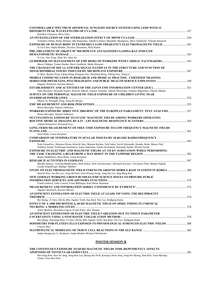| <b>CONTROLLABLE SPECTRUM ARTIFICIAL SUNLIGHT SOURCE SYSTEM USING LEDS WITH 32</b>                                     |  |
|-----------------------------------------------------------------------------------------------------------------------|--|
| Kazuhiro Fujiwara, Akira Yano                                                                                         |  |
|                                                                                                                       |  |
| Tomohiro Oshita, Keiko Shintani, Mai Katayama, Takahiro Emoto, Masatake Akutagawa, Akira Takahashi, Yohsuke Kinouchi  |  |
|                                                                                                                       |  |
| Xi Lin Chen, Stefan Benkler, Nicolas Chavannes, Niels Kuster                                                          |  |
| PRE-TREATMENT OF 120µW/CM <sup>2</sup> MICROWAVE ANTAGONIZES GAMMA-RAY-INDUCED                                        |  |
| Yi Cao, Jian Tong, Jihua Nie, Qian Xu                                                                                 |  |
| <b>GUIDEBOOK ON MANAGEMENT OF EMF RISKS OF WORKERS WITH CARDIAC PACEMAKERS345</b>                                     |  |
| Maria Tiikkaja, Tommi Alanko, Harri Lindholm, Maila Hietanen                                                          |  |
| THE CHANGES OF HIF-1A AND ERK SIGNAL PATHWAY IN THE STRUCTURE AND FUNCTION OF                                         |  |
| Li Zhao, Ruiyun Peng, Lifeng Wang, Hongyan Zuo, Shuiming Wang, Yabing Gao, Xiang Li                                   |  |
| MOBILE COMMUNICATION IN RESEARCH AND MEDICAL PRACTISE - CERTIFIED TRAINING                                            |  |
|                                                                                                                       |  |
| Dagmar Wiebusch, Karsten Menzel                                                                                       |  |
|                                                                                                                       |  |
| Yuko Kuranari, Hiroyuki Yomori, Kouichi Adachi, Tatsuya Tsukada, Takashi Moriyama, Tsukasa Shigemitsu, Chiyoji Ohkubo |  |
| SURVEY ON THE PERSONAL MAGNETIC FIELD EXPOSURE OF CHILDREN LIVING NEAR                                                |  |
| Munno Ju, Kwangho Yang, Sung-Ho Myung                                                                                 |  |
|                                                                                                                       |  |
| Bruno Bisceglia, Simona Valbonesi                                                                                     |  |
| WORKERS EXPOSURE. DIRECTIVE 2004/40/EC OF THE EUROPEAN PARLIAMENT. TEXT ANALYSIS 357                                  |  |
| Bruno Bisceglia, Simona Valbonesi                                                                                     |  |
| OCCUPATIONAL EXPOSURE TO STATIC MAGNETIC FIELDS AMONG WORKERS OPERATING                                               |  |
| Jolanta Karpowicz, Krzysztof Gryz                                                                                     |  |
| LONG-TERM MEASUREMENT OF FREE TIME EXPOSURE TO LOW FREQUENCY MAGNETIC FIELDS                                          |  |
|                                                                                                                       |  |
| Anna Holm, Leena Korpinen                                                                                             |  |
| <b>COMPARISON OF TEMPERATURE IN OCULAR TISSUES BY 18-40 GHZ RADIO-FREOUENCY</b>                                       |  |
| Yoko Yamashiro, Akimasa Hirata, Kenichi Sato, Masami Kojima, Taiji Sakai, Soichi Watanabe, Kanako Wake, Masao Taki,   |  |
| Yukihisa Suzuki, Yoshitsugu Kamimura, Yasuo Sakamoto, Yutaka Kawakami, Kazuyuki Sasaki, Hiroshi Sasaki                |  |
| EXPOSURE TO ELECTRIC AND MAGNETIC FIELDS AT 110 KV SUBSTATION WHILE PERFORMING                                        |  |
|                                                                                                                       |  |
| Rauno Pääkkönen, Anna Holm, Leena Korpinen                                                                            |  |
| Monika Asmuss, Cornelia Baldermann, Anne Dehos, Dirk Geschwentner, Michaela Kreuzer, Christiane Pölzl, Blanka Pophof, |  |
| Gunde Ziegelberger, Rüdiger Matthes                                                                                   |  |
| STUDY ON ELECTROMAGNETIC FIELD STRENGTH AROUND MOBILE BASE STATIONS IN KOREA368                                       |  |
| Wan-Ki Kim, Jee-Hee Lee, Jung-Ah Park, Seon-Woong Jeong, Jong-Soo Lee, Hag-Bong Kim                                   |  |
| NEW GERMAN WORKING GROUP BUNDLES EMF SCIENCE ISSUES TO PROVIDE PUBLIC                                                 |  |
| Frank Gollnick, Gabi Conrad, Franz Büllingen, Karl-Heinz Neumann                                                      |  |
|                                                                                                                       |  |
| Dagmar Wiebusch, Karsten Menzel                                                                                       |  |
| AN EFFICIENT ESTIMATION OF ELECTRIC FIELD AT LEADS TIP USING THE RECIPROCITY                                          |  |
| Rui Qiang, Ji Chen, Shirley Min, Ingmar Viohl, Ana Keef, Tim Cox, Wolfgang Kainz                                      |  |
| EFFECT OF A 1000 MICROTESLA, 60 HZ MAGNETIC FIELD ON SPIKE TIMING IN CORTICAL                                         |  |
|                                                                                                                       |  |
| Julien Modolo, Alexandre Legros, Frank Prato, Alex Thomas                                                             |  |
| AN EFFICIENT ESTIMATION OF ELECTRIC FIELD VARIATION DUE TO TISSUE PARAMETER                                           |  |
| Rui Qiang, Jianxiang Shen, Ji Chen, Shirley Min, Ingmar Viohl, Ana Keef, Tim Cox, Wolfgang Kainz                      |  |
| DOSIMETRY FOR PLATED CELLS EXPOSED TO PHYSIOLOGICAL-STRENGTH ELECTRIC FIELDS 380                                      |  |
| Francis Hart                                                                                                          |  |
|                                                                                                                       |  |
| Stefan Kampusch, G. Neubauer, Stefan Boehm, Richard Überbacher                                                        |  |

### **POSTER SESSION B**

| THE CONTINUOUS EXPOSURE TO 60 HZ MAGNETIC FIELDS TIME-DEPENDENTLY AFFECTS                                        |      |
|------------------------------------------------------------------------------------------------------------------|------|
|                                                                                                                  | .385 |
| Hee-Sung Kim, Hye-Jin Jang, Sang-Kon Lee, Byung-Jae Park, Kyeong-Cheon Jung, Sung-Ho Myung, Nam Kim, Youn-Myoung |      |
| Gimm. Yoon-Won Kim                                                                                               |      |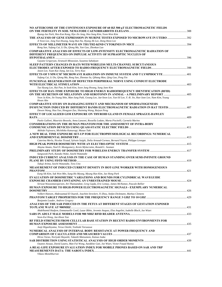| NO AFTERCOME OF THE CONTINUOUS EXPOSURE OF 60 HZ 500 µT ELECTROMAGNETIC FIELDS                                                                                      |  |
|---------------------------------------------------------------------------------------------------------------------------------------------------------------------|--|
| Byung-Jae Park, Hee-Eun Kang, Hye-Jin Jang, Hee-Sung Kim, Yoon-Won Kim                                                                                              |  |
| THE ANALYSIS OF GENE EXPRESSION IN MURINE TESTES EXPOSED TO MICROWAVE IN UTERO 392<br>Ji Yeon Lee, Jong Yun Hwang, Sung Hun Na, Hyang Ah Lee, Dong Heon Lee         |  |
|                                                                                                                                                                     |  |
| Rong Sun, Yufang Cui, Li Du, Qiong Ma, Yan Gao, Zhenkun Luo<br><b>COMPARATIVE ANALYSIS OF EFFECTS OF LOW-INTENSITY ELECTROMAGNETIC RADIATION OF</b>                 |  |
| DIFFERENT FREQUENCIES ON IMPULSE ACTIVITY OF SUPRAOPTIC NUCLEUS OF                                                                                                  |  |
| Gayane Grigoryan, Siranush Minassian, Susanna Sahakyan                                                                                                              |  |
| SLEEP PATTERN CHANGES IN RATS WITH WIRELESS MULTI-CHANNEL SUBCUTANEOUS                                                                                              |  |
| Jason Lee, Yuan-Kai Jiang, Ian Liu, Terry Kuo                                                                                                                       |  |
| Yufang Cui, Li Du, Qiong Ma, Rong Sun, Zhentao Su, Qihang Man, Qing Gao, Peng Yin                                                                                   |  |
| FUNCIONAL REGENERATION OF DEFECTED PERIPHERAL NERVE USING CONDUIT ELECTRODE                                                                                         |  |
| Tae Hyung Lee, Hui Pan, In Sook Kim, Soon Jung Hwang, Sung June Kim                                                                                                 |  |
| EFFECTS OF DAY-TIME EXPOSURE TO HIGH ENERGY RADIOFREQUENCY IDENTIFICATION (RFID)<br>00 ON THE SECRETION OF MELATONIN AND SEROTONIN IN ANIMAL - A PRELIMINARY REPORT |  |
| Yeon Ju Kim, Jin Young Shin, Man-Jung Paik, Gwang Lee, Jae-Seon Lee, Yun-Sil Lee, Y.-B. Jin, Hae-June Lee, Nam Kim, Young<br>Hwan Ahn                               |  |
| <b>COMPARATIVE STUDY ON DAMAGING EFFECT AND MECHANISM OF SPERMATOGENESIS</b>                                                                                        |  |
| DYSFUNCTION INDUCED BY DIFFERENT BANDS ELECTROMAGNETIC RADIATION IN RAT TESTIS  407<br>Dewen Wang, Hua Yao, Hongyan Zuo, Shuiming Wang, Ruiyun Peng                 |  |
| EFFECT OF LOCALIZED GSM EXPOSURE ON THYROID GLAND IN FEMALE SPRAGUE-DAWLEY                                                                                          |  |
| Paolo Galloni, Maurizio Bossola, Anna Lanzoni, Rossella Lodato, Marta Piscitelli, Carmela Marino                                                                    |  |
| <b>CONSIDERATIONS ON THE HUMAN PHANTOM FOR THE ASSESSMENT OF INTRA-BODY</b>                                                                                         |  |
| Akihide Fujiwara, Michihiko Katsuragi, Masao Taki                                                                                                                   |  |
| A NEW REAL TIME EXPOSURE SET-UP FOR ELECTROPHYSIOLOGICAL RECORDINGS: NUMERICAL                                                                                      |  |
| Caterina Merla, Nicolas Ticaud, Sylvain Saïghi, Delia Arnaud-Cormos, Bernard Veyret, Philippe Leveque                                                               |  |
| Alayna Amato, Noel D. Montgomery, Kevin Mylacraine, Ronald L. Seaman                                                                                                |  |
| Sangwook Park, Kanako Wake, Soichi Watanabe                                                                                                                         |  |
| INDUCED CURRENT ANALYSIS IN THE CASE OF HUMAN STANDING OVER SEMI-INFINITE GROUND                                                                                    |  |
| Takuji Arima, Soichi Watanabe, Toru Uno                                                                                                                             |  |
| MEASUREMENT OF INDUCED CURRENT DENSITY IN HOT-LINE WORKER WITH HOMOGENEOUS                                                                                          |  |
| Eung Sik Kim, Suk Won Min, Sung-Ho Myung, Myung Hun Kim, Jae Hong Park                                                                                              |  |
| EVALUATION OF DOSIMETRIC VARIATIONS AND BOUNDS FOR CYLINDRICAL WAVEGUIDE<br><b>EXPOSURE CHAMBER CONTAINING AN UNRESTRAINED MOUSE</b>                                |  |
| Siriwat Wasoontarajaroen, Art Thansandote, Greg Gajda, Eric Lemay, James McNamee, Pascale Bellier                                                                   |  |
| HUMAN EXPOSURE TO HIGH-POWER ELECTROMAGNETIC SIGNALS - EXEMPLARY NUMERICAL                                                                                          |  |
| Volkert Hansen, Abdessamad El Ouardi, Joachim Streckert, Yi Zhou, Stefan Dickmann, Markus Clemens                                                                   |  |
| Benjamin Loader, Andrew Gregory                                                                                                                                     |  |
| ANALYSIS OF THE SAR INDUCED IN THE FETUS AT DIFFERENT STAGES OF GESTATION EXPOSED                                                                                   |  |
| Abdelhamid Hadjem, Emmanuelle Conil, Lazar Bibin, Jeremie Anquez, Elsa Angelini, Isabelle Bloch, Joe Wiart                                                          |  |
| Seon-Eui Hong, Jae-Hoon Yun                                                                                                                                         |  |
| RF FIELD STRENGTH FROM CELLULAR BASE STATION IN RECENT RADIO ENVIRONMENTS FOR                                                                                       |  |
| Junji Higashiyama, Teruo Onishi, Yoshiaki Tarusawa                                                                                                                  |  |
| NUMERICAL ANALYSIS OF INTERNAL BODY RESISTANCE AT POWER FREQUENCY AND                                                                                               |  |
| Hiroo Tarao, Noriyuki Hayashi, Takashi Matsumoto, Katsuo Isaka                                                                                                      |  |
| Ouanes Aiouaz, David Lautru, Man Faï Wong, Azeddine Gati, Joe Wiart, Victor Fouad Hanna                                                                             |  |
| A REAL-LIFE EXPOSURE EVALUATION INDEX FOR MOBILE PHONES BASED ON SAR AND TRP                                                                                        |  |
| Vikass Monebhurrun                                                                                                                                                  |  |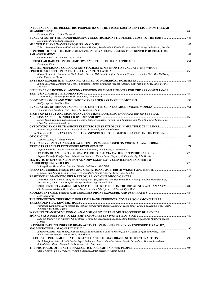| INFLUENCE OF THE DIELECTRIC PROPERTIES OF THE TISSUE EQUIVALENT LIQUID ON THE SAR                                                                                                                                    |  |
|----------------------------------------------------------------------------------------------------------------------------------------------------------------------------------------------------------------------|--|
| Dominique Picard, Yacine Chouarhi<br>EVALUATION OF THE RADIOFREQUENCY ELECTROMAGNETIC FIELDS CLOSE TO THE BODY 445                                                                                                   |  |
| Dominique Picard, Kada Berrahma                                                                                                                                                                                      |  |
| Thierry Kientega, Emmanuelle Conil, Abdelhamid Hadjem, Azeddine Gati, Elodie Richalot, Man Faï Wong, Odile Picon, Joe Wiart<br><b>CONTRIBUTION TO THE IMPLEMENTATION OF A MULTI-SENSORS TEST BENCH FOR REAL TIME</b> |  |
|                                                                                                                                                                                                                      |  |
| Gaetan Guevel, Christian Person, Joe Wiart                                                                                                                                                                           |  |
|                                                                                                                                                                                                                      |  |
| Dominique Picard<br>MULTIDIMENSIONAL COLLOCATION STOCHASTIC METHOD TO EVALUATE THE WHOLE                                                                                                                             |  |
|                                                                                                                                                                                                                      |  |
| Aimad El Habachi, Emmanuelle Conil, Jessica Carette, Abdelhamid Hadjem, Emmanuel Vazquez, Azeddine Gati, Man Faï Wong,                                                                                               |  |
| Gilles Fleury, Joe Wiart                                                                                                                                                                                             |  |
| Aimad El Habachi, Emmanuelle Conil, Abdelhamid Hadjem, Emmanuel Vazquez, Azeddine Gati, Man Faï Wong, Gilles Fleury,<br>Joe Wiart                                                                                    |  |
| INFLUENCE OF INTERNAL ANTENNA POSITION OF MOBILE PHONES FOR THE SAR COMPLIANCE                                                                                                                                       |  |
| Lira Hamada, Takahiro Iyama, Soichi Watanabe, Teruo Onishi                                                                                                                                                           |  |
|                                                                                                                                                                                                                      |  |
| Ae-Kyoung Lee, Jae-Hoon Yun                                                                                                                                                                                          |  |
|                                                                                                                                                                                                                      |  |
| Tongning Wu, Chen Zhao, Chen Zhang, Jun Yang, Qing Shao                                                                                                                                                              |  |
| STUDY ON EFFECT AND SIGNIFICANCE OF MEMBRANE ELECTROPORATION ON SEVERAL                                                                                                                                              |  |
| Dewen Wang, Hongyan Zuo, Hua Deng, Xiaozhe Cao, Meilan Zhao, Ruiyun Peng, Sa Zhang, Tao Zhou, Shuiming Wang, Haoyu<br>Chen, Bo Dong, Jiangang Zhan                                                                   |  |
| <b>CYTOTOXICITY OF ULTRASHORT ELECTRIC PULSE EXPOSURE IN MULTIPLE CELL LINES 467</b>                                                                                                                                 |  |
| Bennett Ibey, Caleb Roth, Joshua Bernhard, Gerald Wilmink, Andrei Pakhomov<br>ELECTROPORE LIFE CYCLES IN HETEROGENEOUS PHOSPHOLIPID BILAYERS IN THE PRESENCE                                                         |  |
|                                                                                                                                                                                                                      |  |
| Zachary Levine, P. Thomas Vernier                                                                                                                                                                                    |  |
| A LOCALLY CONSTRAINED SURFACE TENSION MODEL BASED ON CORTICAL ANCHORING                                                                                                                                              |  |
| Stephen Kennedy, Zhen Ji, Nicole Rockweiler, Adam Hahn, John Booske, Susan Hagness                                                                                                                                   |  |
|                                                                                                                                                                                                                      |  |
| Stephen Kennedy, Kaytlyn Beres, Adam Hahn, Samantha Kamin, Susan Hagness, William Murphy, John Booske                                                                                                                |  |
| SEX RATIO IN OFFSPRING OF ROYAL NORWEGIAN NAVY SERVICEMEN EXPOSED TO                                                                                                                                                 |  |
|                                                                                                                                                                                                                      |  |
| Valborg Baste, Bente Møen, Gunnhild Oftedal, Leif Strand, Kjell Mild                                                                                                                                                 |  |
| Mina Ha, Eun-Jung Kim, Eun-Hee Ha, Hye-Sook Park, Yangho Kim, Yun-Chul Hong, Nam Kim                                                                                                                                 |  |
|                                                                                                                                                                                                                      |  |
| Sohee Han, Sue K. Park, Kyoung-Mu Lee, Jeong-Hun Lym, Hyo Seop Ahn, Hee Young Shin, Hyoung Jin Kang, Hong Hoe Koo,                                                                                                   |  |
| Jong Jin Seo, Ji Eun Choi, Sung-Ho Myung, Daehee Kang, Yoon-Ok Ahn<br>82. REDUCED FERTILITY AMONG MEN EXPOSED TO RF FIELDS IN THE ROYAL NORWEGIAN NAVY                                                               |  |
| Ole Jacob Møllerløkken, Bente Møen, Valborg Baste, Gunnhild Oftedal, Leif Strand, Kjell Mild                                                                                                                         |  |
|                                                                                                                                                                                                                      |  |
| Mary Redmayne                                                                                                                                                                                                        |  |
| THE PERCEPTION THRESHOLD FOR LF-MF BAND CURRENTS: COMPARISON AMONG THREE                                                                                                                                             |  |
| Yoshitsugu Kamimura, Akira Yamashita, Toshiaki Furubayashi, Ritsuko Hanajima, Yasuo Terao, Taiji Sakai, Kanako Wake, Soichi<br>Watanabe, Yoshikazu Ugawa                                                             |  |
| WAVELET TRANSFORMATIONAL ANALYSIS OF SIMULTANEOUS REGISTERED BP AND LDF                                                                                                                                              |  |
|                                                                                                                                                                                                                      |  |
| Lubomir Traikov, Ivan Antonov, Julia Petrova, George Lawlor, Adriana Bocheva, Elena Dzambazova, Roxana Mincheva, Marko<br>Markov                                                                                     |  |
| IS FINGER TAPPING INDUCED BRAIN ACTIVATION MODULATED BY AN EXPOSURE TO A 60 HZ,                                                                                                                                      |  |
|                                                                                                                                                                                                                      |  |
| Alexandre Legros, Jodi Miller, Julien Modolo, Michael Corbacio, John Robertson, Daniel Goulet, Jacques Lambrozo, Michel                                                                                              |  |
| Plante, Martine Souques, Frank Prato, Alex Thomas<br>EFFECTS OF PULSE-MODULATED RF-EMF ON THE HUMAN BRAIN: SITE OF INTERACTION 492                                                                                   |  |
| Sarah Loughran, Marc Schmid, Sabine Regel, Aleksandra Bratic, Micheline Maire, Alessia Bersagliere, Thomas Rusterholtz,                                                                                              |  |
| Roland Dürr, Manuel Murbach, Niels Kuster, Peter Achermann                                                                                                                                                           |  |
| Oleg Grigoriev, Felix Torubarov, Vladimir Stepanov, Anton Merkulov, Andrey Sazhin                                                                                                                                    |  |
|                                                                                                                                                                                                                      |  |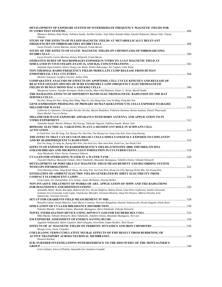| DEVELOPMENT OF EXPOSURE SYSTEM OF INTERMEDIATE FREQUENCY MAGNETIC FIELDS FOR                                                                                                          |  |
|---------------------------------------------------------------------------------------------------------------------------------------------------------------------------------------|--|
| Masateru Ikehata, Keiji Wada, Yukihisa Suzuki, Sachiko Yoshie, Taiji Sakai, Kanako Wake, Satoshi Nakasono, Masao Taki, Chiyoji                                                        |  |
| Ohkubo<br>STUDY OF THE EFFECTS OF PULSED MAGNETIC FIELDS AT METABOLLICALLY RELEVANT                                                                                                   |  |
|                                                                                                                                                                                       |  |
| Lucas Portelli, Carlos Martino, Kelsey Whitesell, Frank Barnes                                                                                                                        |  |
| STUDY OF THE EFFECTS OF STATIC MAGNETIC FIELDS ON CHEMOTAXIS OF FIBROSARCOMA                                                                                                          |  |
| Lucas Portelli, Carlos Martino, Kelsey Whitesell, Frank Barnes                                                                                                                        |  |
| OXIDATIVE BURST OF MACROPHAGES EXPOSED IN VITRO TO A ULF MAGNETIC FIELD AT                                                                                                            |  |
| Stéphane Egot-Lemaire, Henry Owegi, Lee Waite, Walter Balcavage, Jan Cuppen, Gabi Waite                                                                                               |  |
| NON-THERMAL RADIO FREQUENCY FIELDS MODULATE CGMP RELEASE FROM HUMAN                                                                                                                   |  |
|                                                                                                                                                                                       |  |
| Michael Januszyk, Geoffrey Gurtner, Arthur Pilla<br>COMPARATIVE ANALYSIS OF EFFECTS ON APOPTOSIS, CELL CYCLE KINETICS AND RELEASE OF                                                  |  |
| <b>REACTIVE OXYGEN SPECIES OF 50 HZ EXTREMELY LOW-FREQUENCY ELECTROMAGNETIC</b>                                                                                                       |  |
|                                                                                                                                                                                       |  |
| Margareta Lantow, Jennifer Strompen, Heiko Lemcke, Mats-Olof Mattsson, Dieter G. Weiss, Myrtill Simkó<br>THE DAMAGING EFFECTS OF DIFFERENT BANDS ELECTROMAGNETIC RADIATION ON THE RAT |  |
|                                                                                                                                                                                       |  |
| Wu Hui, Wang De-Wen, Wang Shui-Ming, Zhao Li, Zuo Hong-Yan, Gao Ya-Bing, Peng Rui-Yun                                                                                                 |  |
| GENE EXPRESSION PROFILING OF PRIMARY HUMAN KERATINOCYTE CELLS EXPOSED TO 60-GHZ                                                                                                       |  |
| Catherine Le Quément, Christophe Nicolas Nicolaz, Maxim Zhadobov, Fabienne Desmots, Ronan Sauleau, Daniel Thouroude,                                                                  |  |
| Denis Michel, Yves Le Dréan                                                                                                                                                           |  |
| MILLIMETER-WAVE EXPOSURE APPARATUS WITH HORN ANTENNA AND APPLICATION TO IN                                                                                                            |  |
| Yumitaka Suzuki, Mariko Shibuya, Sho Kurogi, Takayuki Taguchi, Yukihisa Suzuki, Masao Taki                                                                                            |  |
| BIPHASIC ELECTRICAL TARGETING PLAYS A SIGNIFICANT ROLE IN SCHWANN CELL                                                                                                                |  |
| In Sook Kim, Yun Mi Song, Tae Hyung Cho, Hui Pan, Tae Hyung Lee, Sung June Kim, Soon Jung Hwang                                                                                       |  |
| THE EFFECTS THAT CAN OCCUR IN HEI-OC1 CELLS SIMULTANEOUSLY EXPOSED TO CISPLANTIN                                                                                                      |  |
| Eun Joo Song, Gi-Jung Im, Kyung-Hee Kim, Jae-Seon Lee, Hae-Joon Kim, Eunil Lee, Jae-Wook Choi                                                                                         |  |
| EFFECTS OF EXPOSURE TO RADIOFREQUENCY FIELDS (UMTS/IMT-2000; 1950 MHZ) ON DNA                                                                                                         |  |
|                                                                                                                                                                                       |  |
| Junji Miyakoshi, Eijiro Narita, Tomonori Sakurai                                                                                                                                      |  |
| Tsuyoshi Okahisa, Masayuki Yamato, Akira Takahashi, Masatake Akutagawa, Takahiro Emoto, Yohsuke Kinouchi                                                                              |  |
| DEVELOPMENT OF PORTABLE ELF MAGNETIC FIELD MEASUREMENT AND RECORDING SYSTEM                                                                                                           |  |
|                                                                                                                                                                                       |  |
| Yoon-Myoung Gimm, Jong-Wook Wang, Ho-Sang Yoo, Jae-Joon Kim, Hwan-Gu Cho, Byeong-Wook Min, Tai-Young Kim<br>ESTIMATION OF AMBIENT ELECTRIC FIELDS GENERATED BY DIRTY ELECTRICITY FROM |  |
|                                                                                                                                                                                       |  |
| Greg Gajda, Art Thansandote, Eric Lemay, James McNamee, Pascale Bellier                                                                                                               |  |
| NON INVASIVE TREATMENT OF WORKS OF ART. APPLICATION OF MMW AND THZ RADIATIONS                                                                                                         |  |
| Antonella Altieri, Bruno Bisceglia, Roberto De Leo, Nicola Diaferia, Andrea Doria, Gian Piero Gallerano, Emilio Giovenale,                                                            |  |
| Svetlana Von Gratowski, Lalit Gupta, Viatcheslav Meriakri, Giovanni Messina, Anna Pia Pastore, Alberto Petralia, Ivan<br>Spassovsky, Vincenzo Surrenti                                |  |
|                                                                                                                                                                                       |  |
| Rossella Lodato, Sergio Mancini, Gian Marco Contessa, Vincenzo Brugaletta, Daniele Andreuccetti, Nicola Zoppetti, Paolo Rossi                                                         |  |
| Yuhsuke Manabe, Takahiro Emoto, Masatake Akutagawa, Akira Takahashi, Yohsuke Kinouchi                                                                                                 |  |
|                                                                                                                                                                                       |  |
| Miku Maeda, Yohsuke Kinouchi, Akira Takahashi, Takahiro Emoto, Masatake Akutagawa, Xin Lian                                                                                           |  |
| Jagadish Nadakuduti, Myles Capstick, Mark Douglas, Sven Kühn, Stefan Benkler, Niels Kuster                                                                                            |  |
|                                                                                                                                                                                       |  |
| Shoogo Ueno, Oscar Céspedes                                                                                                                                                           |  |
| <b>COULD LONG TERM CUMULATIVE NEURAL EFFECTS OF EMF RESULT FROM BURDENING OF</b>                                                                                                      |  |
| Howard Wachtel                                                                                                                                                                        |  |
| ICR: FURTHER INVESTIGATIONS WITH REFERENCE TO THE DISCOVERY OF THE MONTAGNIER'S                                                                                                       |  |
| Livio Giuliani, Enrico D'Emilia, Antonella Lisi, Settimio Grimaldi                                                                                                                    |  |
|                                                                                                                                                                                       |  |